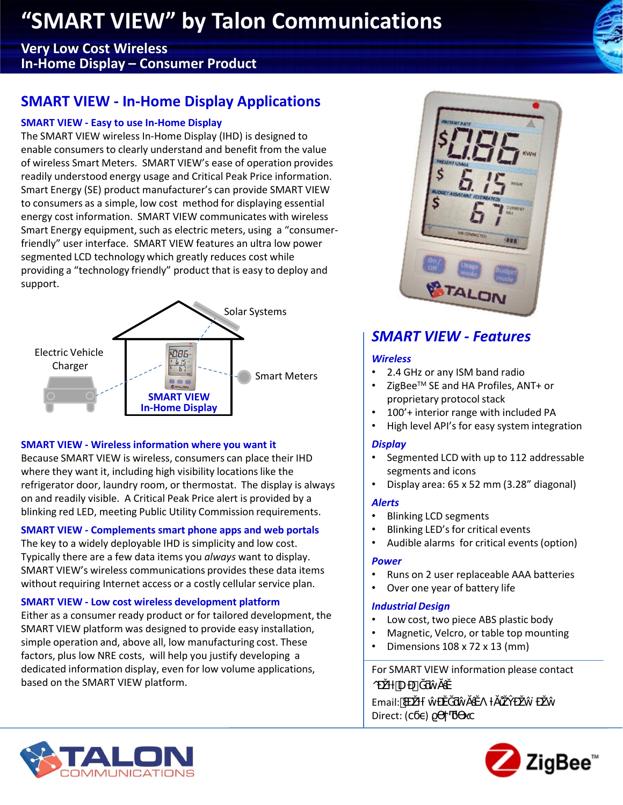## **"SMART VIEW" by Talon Communications "SMART VIEW" by Talon Communications**

### **Very Low Cost Wireless In-Home Display – Consumer Product**

## **SMART VIEW - In-Home Display Applications**

### **SMART VIEW - Easy to use In-Home Display**

The SMART VIEW wireless In-Home Display (IHD) is designed to enable consumers to clearly understand and benefit from the value of wireless Smart Meters. SMART VIEW's ease of operation provides readily understood energy usage and Critical Peak Price information. Smart Energy (SE) product manufacturer's can provide SMART VIEW to consumers as a simple, low cost method for displaying essential energy cost information. SMART VIEW communicates with wireless Smart Energy equipment, such as electric meters, using a "consumerfriendly" user interface. SMART VIEW features an ultra low power segmented LCD technology which greatly reduces cost while providing a "technology friendly" product that is easy to deploy and support.



### **SMART VIEW - Wireless information where you want it**

Because SMART VIEW is wireless, consumers can place their IHD where they want it, including high visibility locations like the refrigerator door, laundry room, or thermostat. The display is always on and readily visible. A Critical Peak Price alert is provided by a blinking red LED, meeting Public Utility Commission requirements.

### **SMART VIEW - Complements smart phone apps and web portals**

The key to a widely deployable IHD is simplicity and low cost. Typically there are a few data items you *always* want to display. SMART VIEW's wireless communications provides these data items without requiring Internet access or a costly cellular service plan.

### **SMART VIEW - Low cost wireless development platform**

Either as a consumer ready product or for tailored development, the SMART VIEW platform was designed to provide easy installation, simple operation and, above all, low manufacturing cost. These factors, plus low NRE costs, will help you justify developing a dedicated information display, even for low volume applications, based on the SMART VIEW platform.



## *SMART VIEW - Features*

### *Wireless*

- 2.4 GHz or any ISM band radio
- ZigBeeTM SE and HA Profiles, ANT+ or proprietary protocol stack
- 100'+ interior range with included PA
- High level API's for easy system integration

### *Display*

- Segmented LCD with up to 112 addressable segments and icons
- Display area: 65 x 52 mm (3.28" diagonal)

### *Alerts*

- Blinking LCD segments
- Blinking LED's for critical events
- Audible alarms for critical events (option)

### *Power*

- Runs on 2 user replaceable AAA batteries
- Over one year of battery life

### *Industrial Design*

- Low cost, two piece ABS plastic body
- Magnetic, Velcro, or table top mounting
- Dimensions 108 x 72 x 13 (mm)

### For SMART VIEW information please contact

o U) Email: Direct: ()



L